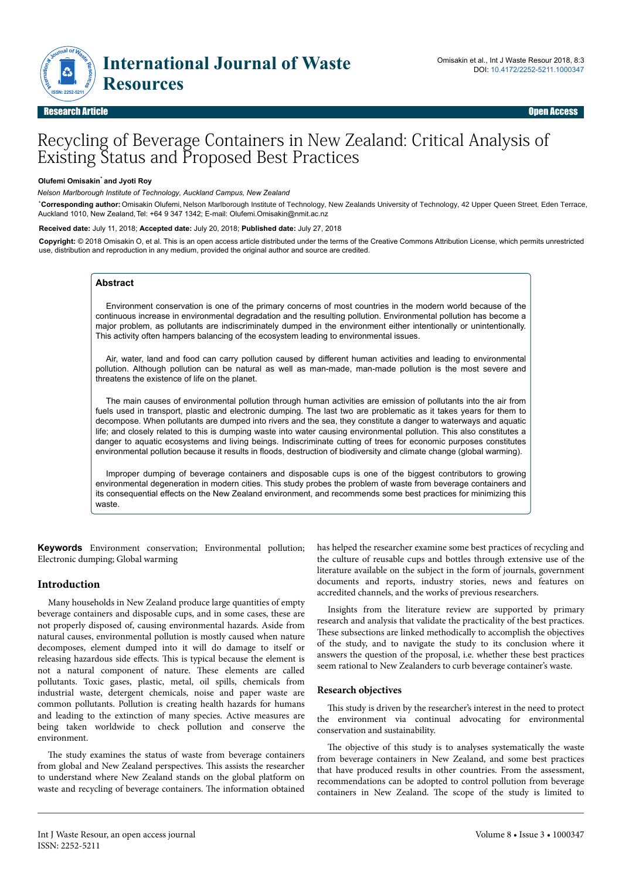

# Recycling of Beverage Containers in New Zealand: Critical Analysis of Existing Status and Proposed Best Practices

#### **Olufemi Omisakin**\* **and Jyoti Roy**

*ˡ Nelson Marlborough Institute of Technology, Auckland Campus, New Zealand*

*\**  **Corresponding author:** Omisakin Olufemi, Nelson Marlborough Institute of Technology, New Zealands University of Technology, 42 Upper Queen Street, Eden Terrace, Auckland 1010, New Zealand,Tel: +64 9 347 1342; E-mail: Olufemi.Omisakin@nmit.ac.nz

**Received date:** July 11, 2018; **Accepted date:** July 20, 2018; **Published date:** July 27, 2018

**Copyright:** © 2018 Omisakin O, et al. This is an open access article distributed under the terms of the Creative Commons Attribution License, which permits unrestricted use, distribution and reproduction in any medium, provided the original author and source are credited.

# **Abstract**

Environment conservation is one of the primary concerns of most countries in the modern world because of the continuous increase in environmental degradation and the resulting pollution. Environmental pollution has become a major problem, as pollutants are indiscriminately dumped in the environment either intentionally or unintentionally. This activity often hampers balancing of the ecosystem leading to environmental issues.

Air, water, land and food can carry pollution caused by different human activities and leading to environmental pollution. Although pollution can be natural as well as man-made, man-made pollution is the most severe and threatens the existence of life on the planet.

The main causes of environmental pollution through human activities are emission of pollutants into the air from fuels used in transport, plastic and electronic dumping. The last two are problematic as it takes years for them to decompose. When pollutants are dumped into rivers and the sea, they constitute a danger to waterways and aquatic life; and closely related to this is dumping waste into water causing environmental pollution. This also constitutes a danger to aquatic ecosystems and living beings. Indiscriminate cutting of trees for economic purposes constitutes environmental pollution because it results in floods, destruction of biodiversity and climate change (global warming).

Improper dumping of beverage containers and disposable cups is one of the biggest contributors to growing environmental degeneration in modern cities. This study probes the problem of waste from beverage containers and its consequential effects on the New Zealand environment, and recommends some best practices for minimizing this waste.

**Keywords** Environment conservation; Environmental pollution; Electronic dumping; Global warming

# **Introduction**

Many households in New Zealand produce large quantities of empty beverage containers and disposable cups, and in some cases, these are not properly disposed of, causing environmental hazards. Aside from natural causes, environmental pollution is mostly caused when nature decomposes, element dumped into it will do damage to itself or releasing hazardous side effects. This is typical because the element is not a natural component of nature. Нese elements are called pollutants. Toxic gases, plastic, metal, oil spills, chemicals from industrial waste, detergent chemicals, noise and paper waste are common pollutants. Pollution is creating health hazards for humans and leading to the extinction of many species. Active measures are being taken worldwide to check pollution and conserve the environment.

The study examines the status of waste from beverage containers from global and New Zealand perspectives. Нis assists the researcher to understand where New Zealand stands on the global platform on waste and recycling of beverage containers. Нe information obtained has helped the researcher examine some best practices of recycling and the culture of reusable cups and bottles through extensive use of the literature available on the subject in the form of journals, government documents and reports, industry stories, news and features on accredited channels, and the works of previous researchers.

Insights from the literature review are supported by primary research and analysis that validate the practicality of the best practices. These subsections are linked methodically to accomplish the objectives of the study, and to navigate the study to its conclusion where it answers the question of the proposal, i.e. whether these best practices seem rational to New Zealanders to curb beverage container's waste.

## **Research objectives**

This study is driven by the researcher's interest in the need to protect the environment via continual advocating for environmental conservation and sustainability.

The objective of this study is to analyses systematically the waste from beverage containers in New Zealand, and some best practices that have produced results in other countries. From the assessment, recommendations can be adopted to control pollution from beverage containers in New Zealand. Нe scope of the study is limited to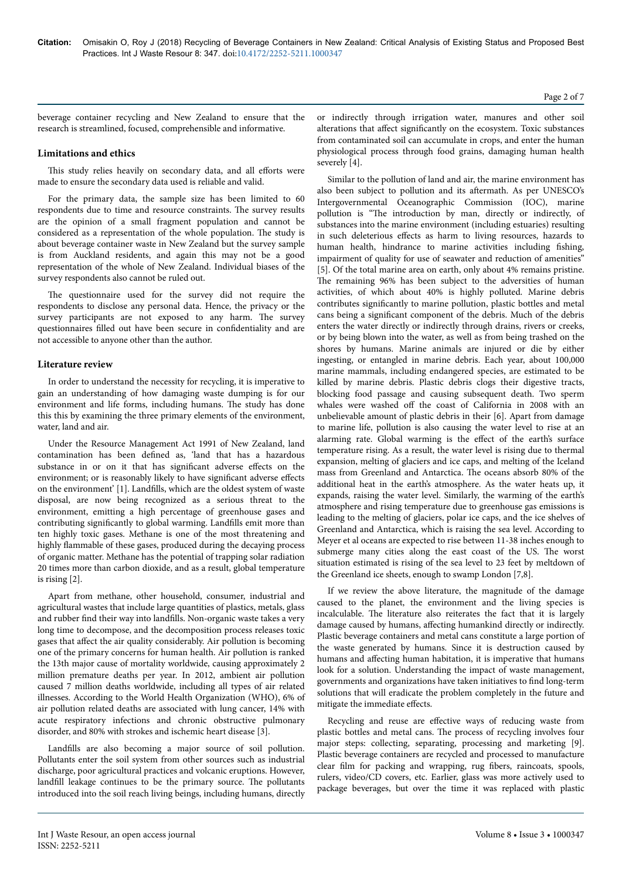beverage container recycling and New Zealand to ensure that the research is streamlined, focused, comprehensible and informative.

## **Limitations and ethics**

This study relies heavily on secondary data, and all efforts were made to ensure the secondary data used is reliable and valid.

For the primary data, the sample size has been limited to 60 respondents due to time and resource constraints. Нe survey results are the opinion of a small fragment population and cannot be considered as a representation of the whole population. Нe study is about beverage container waste in New Zealand but the survey sample is from Auckland residents, and again this may not be a good representation of the whole of New Zealand. Individual biases of the survey respondents also cannot be ruled out.

The questionnaire used for the survey did not require the respondents to disclose any personal data. Hence, the privacy or the survey participants are not exposed to any harm. The survey questionnaires filled out have been secure in confidentiality and are not accessible to anyone other than the author.

## **Literature review**

In order to understand the necessity for recycling, it is imperative to gain an understanding of how damaging waste dumping is for our environment and life forms, including humans. Нe study has done this this by examining the three primary elements of the environment, water, land and air.

Under the Resource Management Act 1991 of New Zealand, land contamination has been defined as, 'land that has a hazardous substance in or on it that has significant adverse effects on the environment; or is reasonably likely to have significant adverse effects on the environment' [1]. Landfills, which are the oldest system of waste disposal, are now being recognized as a serious threat to the environment, emitting a high percentage of greenhouse gases and contributing significantly to global warming. Landfills emit more than ten highly toxic gases. Methane is one of the most threatening and highly flammable of these gases, produced during the decaying process of organic matter. Methane has the potential of trapping solar radiation 20 times more than carbon dioxide, and as a result, global temperature is rising [2].

Apart from methane, other household, consumer, industrial and agricultural wastes that include large quantities of plastics, metals, glass and rubber find their way into landfills. Non-organic waste takes a very long time to decompose, and the decomposition process releases toxic gases that affect the air quality considerably. Air pollution is becoming one of the primary concerns for human health. Air pollution is ranked the 13th major cause of mortality worldwide, causing approximately 2 million premature deaths per year. In 2012, ambient air pollution caused 7 million deaths worldwide, including all types of air related illnesses. According to the World Health Organization (WHO), 6% of air pollution related deaths are associated with lung cancer, 14% with acute respiratory infections and chronic obstructive pulmonary disorder, and 80% with strokes and ischemic heart disease [3].

Landfills are also becoming a major source of soil pollution. Pollutants enter the soil system from other sources such as industrial discharge, poor agricultural practices and volcanic eruptions. However, landfill leakage continues to be the primary source. Нe pollutants introduced into the soil reach living beings, including humans, directly or indirectly through irrigation water, manures and other soil alterations that affect significantly on the ecosystem. Toxic substances from contaminated soil can accumulate in crops, and enter the human physiological process through food grains, damaging human health severely [4].

Similar to the pollution of land and air, the marine environment has also been subject to pollution and its aftermath. As per UNESCO's Intergovernmental Oceanographic Commission (IOC), marine pollution is "The introduction by man, directly or indirectly, of substances into the marine environment (including estuaries) resulting in such deleterious effects as harm to living resources, hazards to human health, hindrance to marine activities including fishing, impairment of quality for use of seawater and reduction of amenities" [5]. Of the total marine area on earth, only about 4% remains pristine. The remaining 96% has been subject to the adversities of human activities, of which about 40% is highly polluted. Marine debris contributes significantly to marine pollution, plastic bottles and metal cans being a significant component of the debris. Much of the debris enters the water directly or indirectly through drains, rivers or creeks, or by being blown into the water, as well as from being trashed on the shores by humans. Marine animals are injured or die by either ingesting, or entangled in marine debris. Each year, about 100,000 marine mammals, including endangered species, are estimated to be killed by marine debris. Plastic debris clogs their digestive tracts, blocking food passage and causing subsequent death. Two sperm whales were washed off the coast of California in 2008 with an unbelievable amount of plastic debris in their [6]. Apart from damage to marine life, pollution is also causing the water level to rise at an alarming rate. Global warming is the effect of the earth's surface temperature rising. As a result, the water level is rising due to thermal expansion, melting of glaciers and ice caps, and melting of the Iceland mass from Greenland and Antarctica. Нe oceans absorb 80% of the additional heat in the earth's atmosphere. As the water heats up, it expands, raising the water level. Similarly, the warming of the earth's atmosphere and rising temperature due to greenhouse gas emissions is leading to the melting of glaciers, polar ice caps, and the ice shelves of Greenland and Antarctica, which is raising the sea level. According to Meyer et al oceans are expected to rise between 11-38 inches enough to submerge many cities along the east coast of the US. Нe worst situation estimated is rising of the sea level to 23 feet by meltdown of the Greenland ice sheets, enough to swamp London [7,8].

If we review the above literature, the magnitude of the damage caused to the planet, the environment and the living species is incalculable. Нe literature also reiterates the fact that it is largely damage caused by humans, affecting humankind directly or indirectly. Plastic beverage containers and metal cans constitute a large portion of the waste generated by humans. Since it is destruction caused by humans and affecting human habitation, it is imperative that humans look for a solution. Understanding the impact of waste management, governments and organizations have taken initiatives to find long-term solutions that will eradicate the problem completely in the future and mitigate the immediate effects.

Recycling and reuse are effective ways of reducing waste from plastic bottles and metal cans. Нe process of recycling involves four major steps: collecting, separating, processing and marketing [9]. Plastic beverage containers are recycled and processed to manufacture clear film for packing and wrapping, rug fibers, raincoats, spools, rulers, video/CD covers, etc. Earlier, glass was more actively used to package beverages, but over the time it was replaced with plastic

## Page 2 of 7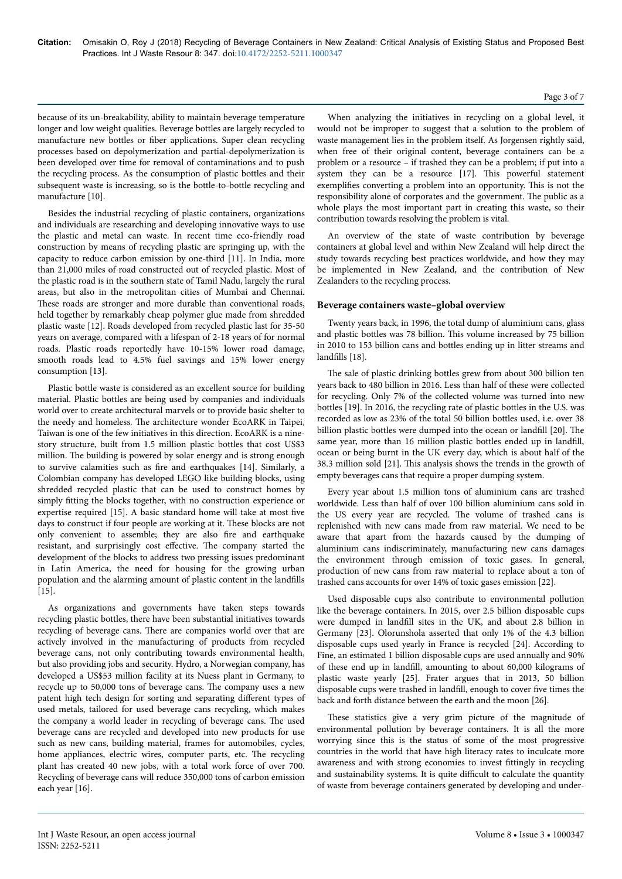because of its un-breakability, ability to maintain beverage temperature longer and low weight qualities. Beverage bottles are largely recycled to manufacture new bottles or fiber applications. Super clean recycling processes based on depolymerization and partial-depolymerization is been developed over time for removal of contaminations and to push the recycling process. As the consumption of plastic bottles and their subsequent waste is increasing, so is the bottle-to-bottle recycling and manufacture [10].

Besides the industrial recycling of plastic containers, organizations and individuals are researching and developing innovative ways to use the plastic and metal can waste. In recent time eco-friendly road construction by means of recycling plastic are springing up, with the capacity to reduce carbon emission by one-third [11]. In India, more than 21,000 miles of road constructed out of recycled plastic. Most of the plastic road is in the southern state of Tamil Nadu, largely the rural areas, but also in the metropolitan cities of Mumbai and Chennai. These roads are stronger and more durable than conventional roads, held together by remarkably cheap polymer glue made from shredded plastic waste [12]. Roads developed from recycled plastic last for 35-50 years on average, compared with a lifespan of 2-18 years of for normal roads. Plastic roads reportedly have 10-15% lower road damage, smooth roads lead to 4.5% fuel savings and 15% lower energy consumption [13].

Plastic bottle waste is considered as an excellent source for building material. Plastic bottles are being used by companies and individuals world over to create architectural marvels or to provide basic shelter to the needy and homeless. Нe architecture wonder EcoARK in Taipei, Taiwan is one of the few initiatives in this direction. EcoARK is a ninestory structure, built from 1.5 million plastic bottles that cost US\$3 million. Нe building is powered by solar energy and is strong enough to survive calamities such as fire and earthquakes [14]. Similarly, a Colombian company has developed LEGO like building blocks, using shredded recycled plastic that can be used to construct homes by simply fitting the blocks together, with no construction experience or expertise required [15]. A basic standard home will take at most five days to construct if four people are working at it. Нese blocks are not only convenient to assemble; they are also fire and earthquake resistant, and surprisingly cost effective. The company started the development of the blocks to address two pressing issues predominant in Latin America, the need for housing for the growing urban population and the alarming amount of plastic content in the landfills [15].

As organizations and governments have taken steps towards recycling plastic bottles, there have been substantial initiatives towards recycling of beverage cans. Нere are companies world over that are actively involved in the manufacturing of products from recycled beverage cans, not only contributing towards environmental health, but also providing jobs and security. Hydro, a Norwegian company, has developed a US\$53 million facility at its Nuess plant in Germany, to recycle up to 50,000 tons of beverage cans. Нe company uses a new patent high tech design for sorting and separating different types of used metals, tailored for used beverage cans recycling, which makes the company a world leader in recycling of beverage cans. Нe used beverage cans are recycled and developed into new products for use such as new cans, building material, frames for automobiles, cycles, home appliances, electric wires, computer parts, etc. Нe recycling plant has created 40 new jobs, with a total work force of over 700. Recycling of beverage cans will reduce 350,000 tons of carbon emission each year [16].

When analyzing the initiatives in recycling on a global level, it would not be improper to suggest that a solution to the problem of waste management lies in the problem itself. As Jorgensen rightly said, when free of their original content, beverage containers can be a problem or a resource – if trashed they can be a problem; if put into a system they can be a resource [17]. This powerful statement exemplifies converting a problem into an opportunity. Нis is not the responsibility alone of corporates and the government. Нe public as a whole plays the most important part in creating this waste, so their contribution towards resolving the problem is vital.

An overview of the state of waste contribution by beverage containers at global level and within New Zealand will help direct the study towards recycling best practices worldwide, and how they may be implemented in New Zealand, and the contribution of New Zealanders to the recycling process.

## **Beverage containers waste–global overview**

Twenty years back, in 1996, the total dump of aluminium cans, glass and plastic bottles was 78 billion. Нis volume increased by 75 billion in 2010 to 153 billion cans and bottles ending up in litter streams and landfills [18].

The sale of plastic drinking bottles grew from about 300 billion ten years back to 480 billion in 2016. Less than half of these were collected for recycling. Only 7% of the collected volume was turned into new bottles [19]. In 2016, the recycling rate of plastic bottles in the U.S. was recorded as low as 23% of the total 50 billion bottles used, i.e. over 38 billion plastic bottles were dumped into the ocean or landfill [20]. The same year, more than 16 million plastic bottles ended up in landfill, ocean or being burnt in the UK every day, which is about half of the 38.3 million sold [21]. Нis analysis shows the trends in the growth of empty beverages cans that require a proper dumping system.

Every year about 1.5 million tons of aluminium cans are trashed worldwide. Less than half of over 100 billion aluminium cans sold in the US every year are recycled. Нe volume of trashed cans is replenished with new cans made from raw material. We need to be aware that apart from the hazards caused by the dumping of aluminium cans indiscriminately, manufacturing new cans damages the environment through emission of toxic gases. In general, production of new cans from raw material to replace about a ton of trashed cans accounts for over 14% of toxic gases emission [22].

Used disposable cups also contribute to environmental pollution like the beverage containers. In 2015, over 2.5 billion disposable cups were dumped in landfill sites in the UK, and about 2.8 billion in Germany [23]. Olorunshola asserted that only 1% of the 4.3 billion disposable cups used yearly in France is recycled [24]. According to Fine, an estimated 1 billion disposable cups are used annually and 90% of these end up in landfill, amounting to about 60,000 kilograms of plastic waste yearly [25]. Frater argues that in 2013, 50 billion disposable cups were trashed in landfill, enough to cover five times the back and forth distance between the earth and the moon [26].

These statistics give a very grim picture of the magnitude of environmental pollution by beverage containers. It is all the more worrying since this is the status of some of the most progressive countries in the world that have high literacy rates to inculcate more awareness and with strong economies to invest fittingly in recycling and sustainability systems. It is quite difficult to calculate the quantity of waste from beverage containers generated by developing and under-

# Page 3 of 7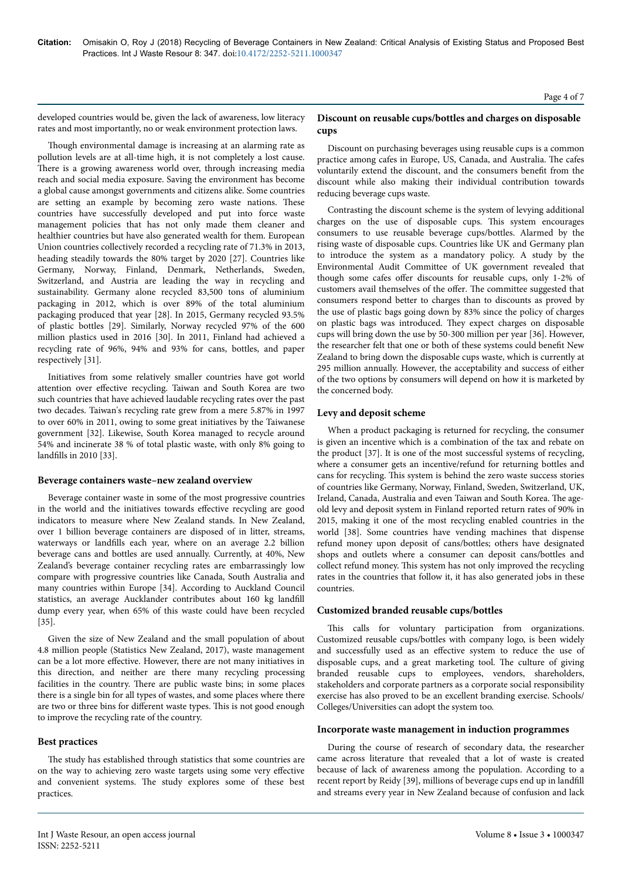developed countries would be, given the lack of awareness, low literacy rates and most importantly, no or weak environment protection laws.

Though environmental damage is increasing at an alarming rate as pollution levels are at all-time high, it is not completely a lost cause. There is a growing awareness world over, through increasing media reach and social media exposure. Saving the environment has become a global cause amongst governments and citizens alike. Some countries are setting an example by becoming zero waste nations. Нese countries have successfully developed and put into force waste management policies that has not only made them cleaner and healthier countries but have also generated wealth for them. European Union countries collectively recorded a recycling rate of 71.3% in 2013, heading steadily towards the 80% target by 2020 [27]. Countries like Germany, Norway, Finland, Denmark, Netherlands, Sweden, Switzerland, and Austria are leading the way in recycling and sustainability. Germany alone recycled 83,500 tons of aluminium packaging in 2012, which is over 89% of the total aluminium packaging produced that year [28]. In 2015, Germany recycled 93.5% of plastic bottles [29]. Similarly, Norway recycled 97% of the 600 million plastics used in 2016 [30]. In 2011, Finland had achieved a recycling rate of 96%, 94% and 93% for cans, bottles, and paper respectively [31].

Initiatives from some relatively smaller countries have got world attention over effective recycling. Taiwan and South Korea are two such countries that have achieved laudable recycling rates over the past two decades. Taiwan's recycling rate grew from a mere 5.87% in 1997 to over 60% in 2011, owing to some great initiatives by the Taiwanese government [32]. Likewise, South Korea managed to recycle around 54% and incinerate 38 % of total plastic waste, with only 8% going to landfills in 2010 [33].

## **Beverage containers waste–new zealand overview**

Beverage container waste in some of the most progressive countries in the world and the initiatives towards effective recycling are good indicators to measure where New Zealand stands. In New Zealand, over 1 billion beverage containers are disposed of in litter, streams, waterways or landfills each year, where on an average 2.2 billion beverage cans and bottles are used annually. Currently, at 40%, New Zealand's beverage container recycling rates are embarrassingly low compare with progressive countries like Canada, South Australia and many countries within Europe [34]. According to Auckland Council statistics, an average Aucklander contributes about 160 kg landfill dump every year, when 65% of this waste could have been recycled [35].

Given the size of New Zealand and the small population of about 4.8 million people (Statistics New Zealand, 2017), waste management can be a lot more effective. However, there are not many initiatives in this direction, and neither are there many recycling processing facilities in the country. Нere are public waste bins; in some places there is a single bin for all types of wastes, and some places where there are two or three bins for different waste types. This is not good enough to improve the recycling rate of the country.

#### **Best practices**

The study has established through statistics that some countries are on the way to achieving zero waste targets using some very effective and convenient systems. Нe study explores some of these best practices.

# **Discount on reusable cups/bottles and charges on disposable cups**

Discount on purchasing beverages using reusable cups is a common practice among cafes in Europe, US, Canada, and Australia. Нe cafes voluntarily extend the discount, and the consumers benefit from the discount while also making their individual contribution towards reducing beverage cups waste.

Contrasting the discount scheme is the system of levying additional charges on the use of disposable cups. Нis system encourages consumers to use reusable beverage cups/bottles. Alarmed by the rising waste of disposable cups. Countries like UK and Germany plan to introduce the system as a mandatory policy. A study by the Environmental Audit Committee of UK government revealed that though some cafes offer discounts for reusable cups, only 1-2% of customers avail themselves of the offer. The committee suggested that consumers respond better to charges than to discounts as proved by the use of plastic bags going down by 83% since the policy of charges on plastic bags was introduced. Нey expect charges on disposable cups will bring down the use by 50-300 million per year [36]. However, the researcher felt that one or both of these systems could benefit New Zealand to bring down the disposable cups waste, which is currently at 295 million annually. However, the acceptability and success of either of the two options by consumers will depend on how it is marketed by the concerned body.

## **Levy and deposit scheme**

When a product packaging is returned for recycling, the consumer is given an incentive which is a combination of the tax and rebate on the product [37]. It is one of the most successful systems of recycling, where a consumer gets an incentive/refund for returning bottles and cans for recycling. Нis system is behind the zero waste success stories of countries like Germany, Norway, Finland, Sweden, Switzerland, UK, Ireland, Canada, Australia and even Taiwan and South Korea. Нe ageold levy and deposit system in Finland reported return rates of 90% in 2015, making it one of the most recycling enabled countries in the world [38]. Some countries have vending machines that dispense refund money upon deposit of cans/bottles; others have designated shops and outlets where a consumer can deposit cans/bottles and collect refund money. Нis system has not only improved the recycling rates in the countries that follow it, it has also generated jobs in these countries.

#### **Customized branded reusable cups/bottles**

This calls for voluntary participation from organizations. Customized reusable cups/bottles with company logo, is been widely and successfully used as an effective system to reduce the use of disposable cups, and a great marketing tool. Нe culture of giving branded reusable cups to employees, vendors, shareholders, stakeholders and corporate partners as a corporate social responsibility exercise has also proved to be an excellent branding exercise. Schools/ Colleges/Universities can adopt the system too.

#### **Incorporate waste management in induction programmes**

During the course of research of secondary data, the researcher came across literature that revealed that a lot of waste is created because of lack of awareness among the population. According to a recent report by Reidy [39], millions of beverage cups end up in landfill and streams every year in New Zealand because of confusion and lack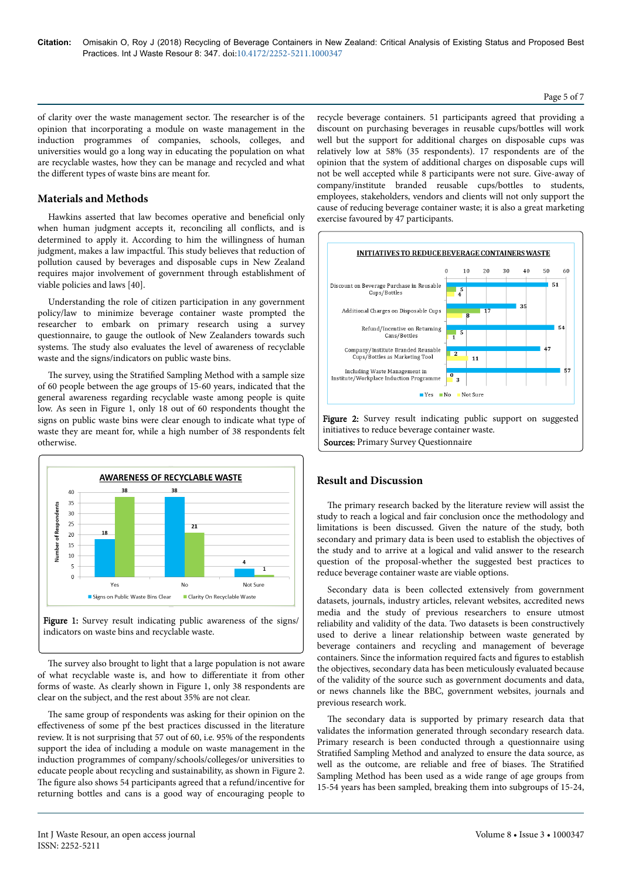## Page 5 of 7

of clarity over the waste management sector. Нe researcher is of the opinion that incorporating a module on waste management in the induction programmes of companies, schools, colleges, and universities would go a long way in educating the population on what are recyclable wastes, how they can be manage and recycled and what the different types of waste bins are meant for.

# **Materials and Methods**

Hawkins asserted that law becomes operative and beneficial only when human judgment accepts it, reconciling all conflicts, and is determined to apply it. According to him the willingness of human judgment, makes a law impactful. Нis study believes that reduction of pollution caused by beverages and disposable cups in New Zealand requires major involvement of government through establishment of viable policies and laws [40].

Understanding the role of citizen participation in any government policy/law to minimize beverage container waste prompted the researcher to embark on primary research using a survey questionnaire, to gauge the outlook of New Zealanders towards such systems. Нe study also evaluates the level of awareness of recyclable waste and the signs/indicators on public waste bins.

The survey, using the Stratified Sampling Method with a sample size of 60 people between the age groups of 15-60 years, indicated that the general awareness regarding recyclable waste among people is quite low. As seen in Figure 1, only 18 out of 60 respondents thought the signs on public waste bins were clear enough to indicate what type of waste they are meant for, while a high number of 38 respondents felt otherwise.





The survey also brought to light that a large population is not aware of what recyclable waste is, and how to differentiate it from other forms of waste. As clearly shown in Figure 1, only 38 respondents are clear on the subject, and the rest about 35% are not clear.

The same group of respondents was asking for their opinion on the effectiveness of some pf the best practices discussed in the literature review. It is not surprising that 57 out of 60, i.e. 95% of the respondents support the idea of including a module on waste management in the induction programmes of company/schools/colleges/or universities to educate people about recycling and sustainability, as shown in Figure 2. The figure also shows 54 participants agreed that a refund/incentive for returning bottles and cans is a good way of encouraging people to

recycle beverage containers. 51 participants agreed that providing a discount on purchasing beverages in reusable cups/bottles will work well but the support for additional charges on disposable cups was relatively low at 58% (35 respondents). 17 respondents are of the opinion that the system of additional charges on disposable cups will not be well accepted while 8 participants were not sure. Give-away of company/institute branded reusable cups/bottles to students, employees, stakeholders, vendors and clients will not only support the cause of reducing beverage container waste; it is also a great marketing exercise favoured by 47 participants.



# **Result and Discussion**

The primary research backed by the literature review will assist the study to reach a logical and fair conclusion once the methodology and limitations is been discussed. Given the nature of the study, both secondary and primary data is been used to establish the objectives of the study and to arrive at a logical and valid answer to the research question of the proposal-whether the suggested best practices to reduce beverage container waste are viable options.

Secondary data is been collected extensively from government datasets, journals, industry articles, relevant websites, accredited news media and the study of previous researchers to ensure utmost reliability and validity of the data. Two datasets is been constructively used to derive a linear relationship between waste generated by beverage containers and recycling and management of beverage containers. Since the information required facts and figures to establish the objectives, secondary data has been meticulously evaluated because of the validity of the source such as government documents and data, or news channels like the BBC, government websites, journals and previous research work.

The secondary data is supported by primary research data that validates the information generated through secondary research data. Primary research is been conducted through a questionnaire using Stratified Sampling Method and analyzed to ensure the data source, as well as the outcome, are reliable and free of biases. The Stratified Sampling Method has been used as a wide range of age groups from 15-54 years has been sampled, breaking them into subgroups of 15-24,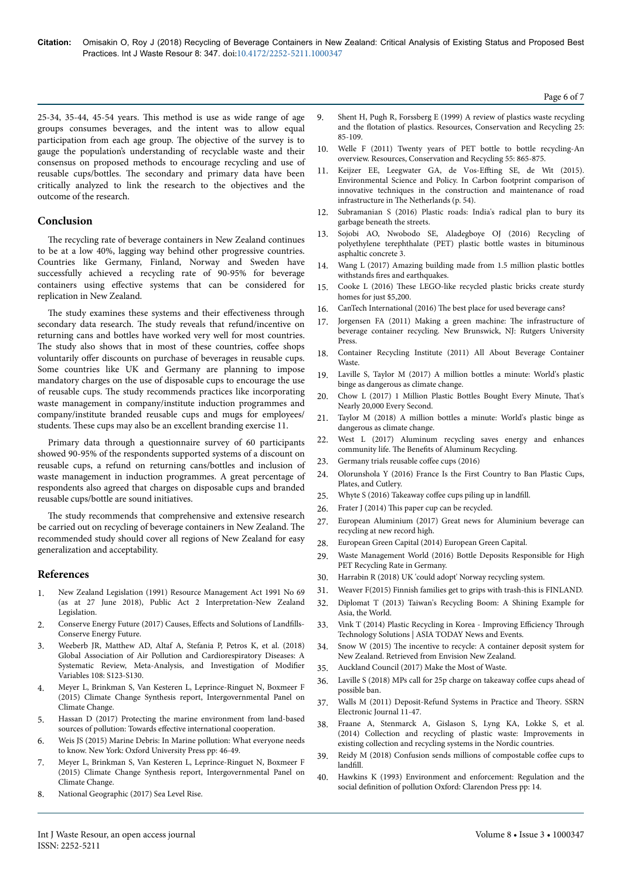25-34, 35-44, 45-54 years. Нis method is use as wide range of age groups consumes beverages, and the intent was to allow equal participation from each age group. Нe objective of the survey is to gauge the population's understanding of recyclable waste and their consensus on proposed methods to encourage recycling and use of reusable cups/bottles. Нe secondary and primary data have been critically analyzed to link the research to the objectives and the outcome of the research.

# **Conclusion**

The recycling rate of beverage containers in New Zealand continues to be at a low 40%, lagging way behind other progressive countries. Countries like Germany, Finland, Norway and Sweden have successfully achieved a recycling rate of 90-95% for beverage containers using effective systems that can be considered for replication in New Zealand.

The study examines these systems and their effectiveness through secondary data research. Нe study reveals that refund/incentive on returning cans and bottles have worked very well for most countries. The study also shows that in most of these countries, coffee shops voluntarily offer discounts on purchase of beverages in reusable cups. Some countries like UK and Germany are planning to impose mandatory charges on the use of disposable cups to encourage the use of reusable cups. Нe study recommends practices like incorporating waste management in company/institute induction programmes and company/institute branded reusable cups and mugs for employees/ students. Нese cups may also be an excellent branding exercise 11.

Primary data through a questionnaire survey of 60 participants showed 90-95% of the respondents supported systems of a discount on reusable cups, a refund on returning cans/bottles and inclusion of waste management in induction programmes. A great percentage of respondents also agreed that charges on disposable cups and branded reusable cups/bottle are sound initiatives.

The study recommends that comprehensive and extensive research be carried out on recycling of beverage containers in New Zealand. Нe recommended study should cover all regions of New Zealand for easy generalization and acceptability.

## **References**

- 1. New Zealand Legislation (1991) Resource Management Act 1991 No 69 (as at 27 June 2018), Public Act 2 Interpretation-New Zealand Legislation.
- 2. Conserve Energy Future (2017) Causes, Effects and Solutions of Landfills-Conserve Energy Future.
- 3. [Weeberb JR, Matthew AD, Altaf A, Stefania P, Petros K, et al. \(2018\)](https://dx.doi.org/10.2105%2FAJPH.2017.303839) [Global Association of Air Pollution and Cardiorespiratory Diseases: A](https://dx.doi.org/10.2105%2FAJPH.2017.303839) [Systematic Review, Meta-Analysis, and Investigation of](https://dx.doi.org/10.2105%2FAJPH.2017.303839) Modifier [Variables 108: S123-S130.](https://dx.doi.org/10.2105%2FAJPH.2017.303839)
- 4. Meyer L, Brinkman S, Van Kesteren L, Leprince-Ringuet N, Boxmeer F (2015) Climate Change Synthesis report, Intergovernmental Panel on Climate Change.
- 5. Hassan D (2017) Protecting the marine environment from land-based sources of pollution: Towards effective international cooperation.
- 6. Weis JS (2015) Marine Debris: In Marine pollution: What everyone needs to know. New York: Oxford University Press pp: 46-49.
- 7. Meyer L, Brinkman S, Van Kesteren L, Leprince-Ringuet N, Boxmeer F (2015) Climate Change Synthesis report, Intergovernmental Panel on Climate Change.
- 8. National Geographic (2017) Sea Level Rise.
- 9. [Shent H, Pugh R, Forssberg E \(1999\) A review of plastics waste recycling](http://dx.doi.org/10.1016/S0921-3449(98)00017-2) and the flotation [of plastics. Resources, Conservation and Recycling 25:](http://dx.doi.org/10.1016/S0921-3449(98)00017-2) [85-109.](http://dx.doi.org/10.1016/S0921-3449(98)00017-2)
- 10. [Welle F \(2011\) Twenty years of PET bottle to bottle recycling-An](http://doi.org/10.1016/j.resconrec.2011.04.009) [overview. Resources, Conservation and Recycling 55: 865-875.](http://doi.org/10.1016/j.resconrec.2011.04.009)
- 11. [Keijzer EE, Leegwater GA, de](https://doi.org/10.1016/j.envsci.2015.06.010) Vos-Effting SE, de Wit (2015). [Environmental Science and Policy. In Carbon footprint comparison of](https://doi.org/10.1016/j.envsci.2015.06.010) [innovative techniques in the construction and maintenance of road](https://doi.org/10.1016/j.envsci.2015.06.010) infrastructure in The [Netherlands \(p. 54\).](https://doi.org/10.1016/j.envsci.2015.06.010)
- 12. Subramanian S (2016) Plastic roads: India's radical plan to bury its garbage beneath the streets.
- 13. [Sojobi AO, Nwobodo SE, Aladegboye OJ \(2016\) Recycling of](https://doi.org/10.1080/23311916.2015.1133480) [polyethylene terephthalate \(PET\) plastic bottle wastes in bituminous](https://doi.org/10.1080/23311916.2015.1133480) [asphaltic concrete 3.](https://doi.org/10.1080/23311916.2015.1133480)
- 14. Wang L (2017) Amazing building made from 1.5 million plastic bottles withstands fires and earthquakes.
- 15. Cooke L (2016) Нese LEGO-like recycled plastic bricks create sturdy homes for just \$5,200.
- 16. CanTech International (2016) Нe best place for used beverage cans?
- 17. Jorgensen FA (2011) Making a green machine: Нe infrastructure of beverage container recycling. New Brunswick, NJ: Rutgers University Press.
- 18. Container Recycling Institute (2011) All About Beverage Container Waste.
- 19. Laville S, Taylor M (2017) A million bottles a minute: World's plastic binge as dangerous as climate change.
- 20. Chow L (2017) 1 Million Plastic Bottles Bought Every Minute, Нat s Nearly 20,000 Every Second.
- 21. Taylor M (2018) A million bottles a minute: World's plastic binge as dangerous as climate change.
- 22. West L (2017) Aluminum recycling saves energy and enhances community life. Нe Benefits of Aluminum Recycling.
- 23. Germany trials reusable coffee cups (2016)
- 24. Olorunshola Y (2016) France Is the First Country to Ban Plastic Cups, Plates, and Cutlery.
- 25. Whyte S (2016) Takeaway coffee cups piling up in landfill.
- 26. Frater J (2014) This paper cup can be recycled.
- 27. European Aluminium (2017) Great news for Aluminium beverage can recycling at new record high.
- 28. European Green Capital (2014) European Green Capital.
- 29. Waste Management World (2016) Bottle Deposits Responsible for High PET Recycling Rate in Germany.
- 30. Harrabin R (2018) UK 'could adopt' Norway recycling system.
- 31. Weaver F(2015) Finnish families get to grips with trash-this is FINLAND.
- 32. Diplomat T (2013) Taiwan's Recycling Boom: A Shining Example for Asia, the World.
- 33. Vink T (2014) Plastic Recycling in Korea Improving Efficiency Through Technology Solutions | ASIA TODAY News and Events.
- 34. Snow W (2015) Нe incentive to recycle: A container deposit system for New Zealand. Retrieved from Envision New Zealand.
- 35. Auckland Council (2017) Make the Most of Waste.
- 36. Laville S (2018) MPs call for 25p charge on takeaway coffee cups ahead of possible ban.
- 37. [Walls M \(2011\) Deposit-Refund Systems in Practice and](https://dx.doi.org/10.2139/ssrn.1980142) Нeory. SSRN [Electronic Journal 11-47.](https://dx.doi.org/10.2139/ssrn.1980142)
- 38. [Fraane A, Stenmarck A, Gislason S, Lyng KA, Lokke S, et al.](http://dx.doi.org/10.6027/TN2014-543) [\(2014\) Collection and recycling of plastic waste: Improvements in](http://dx.doi.org/10.6027/TN2014-543) [existing collection and recycling systems in the Nordic countries.](http://dx.doi.org/10.6027/TN2014-543)
- 39. Reidy M (2018) Confusion sends millions of compostable coffee cups to landfill.
- 40. Hawkins K (1993) Environment and enforcement: Regulation and the social definition of pollution Oxford: Clarendon Press pp: 14.